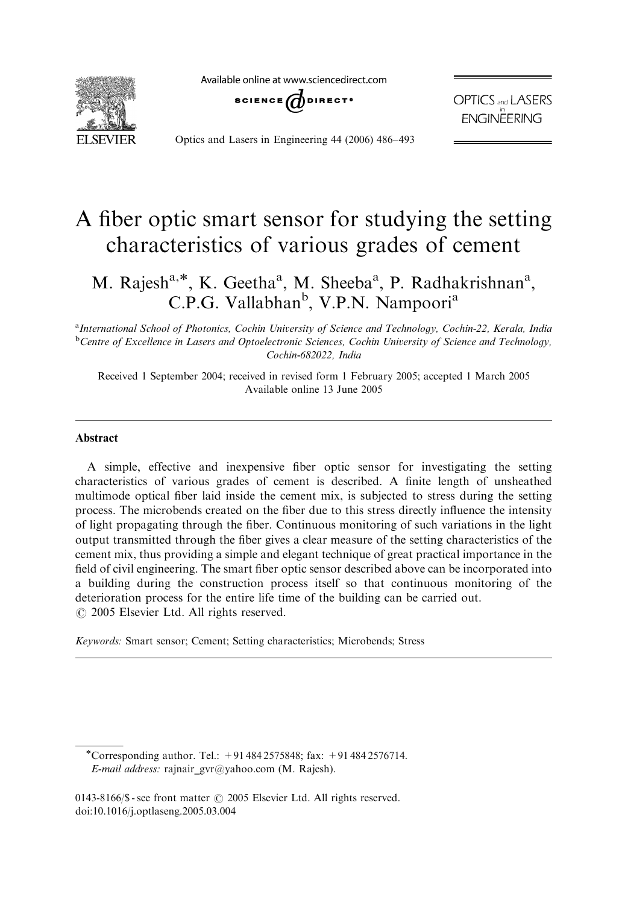Available online at www.sciencedirect.com



**SCIENCE** UDIRECT<sup>®</sup>

**OPTICS** and **LASERS ENGINËERING** 

Optics and Lasers in Engineering 44 (2006) 486–493

# A fiber optic smart sensor for studying the setting characteristics of various grades of cement

M. Rajesh<sup>a,\*</sup>, K. Geetha<sup>a</sup>, M. Sheeba<sup>a</sup>, P. Radhakrishnan<sup>a</sup>, C.P.G. Vallabhan<sup>b</sup>, V.P.N. Nampoori<sup>a</sup>

<sup>a</sup>International School of Photonics, Cochin University of Science and Technology, Cochin-22, Kerala, India <sup>b</sup>Centre of Excellence in Lasers and Optoelectronic Sciences, Cochin University of Science and Technology, Cochin-682022, India

Received 1 September 2004; received in revised form 1 February 2005; accepted 1 March 2005 Available online 13 June 2005

## **Abstract**

A simple, effective and inexpensive fiber optic sensor for investigating the setting characteristics of various grades of cement is described. A finite length of unsheathed multimode optical fiber laid inside the cement mix, is subjected to stress during the setting process. The microbends created on the fiber due to this stress directly influence the intensity of light propagating through the fiber. Continuous monitoring of such variations in the light output transmitted through the fiber gives a clear measure of the setting characteristics of the cement mix, thus providing a simple and elegant technique of great practical importance in the field of civil engineering. The smart fiber optic sensor described above can be incorporated into a building during the construction process itself so that continuous monitoring of the deterioration process for the entire life time of the building can be carried out.  $\odot$  2005 Elsevier Ltd. All rights reserved.

Keywords: Smart sensor; Cement; Setting characteristics; Microbends; Stress

<sup>\*</sup>Corresponding author. Tel.:  $+914842575848$ ; fax:  $+914842576714$ . E-mail address: rajnair\_gvr@yahoo.com (M. Rajesh).

<sup>0143-8166/\$ -</sup> see front matter  $\odot$  2005 Elsevier Ltd. All rights reserved. doi:10.1016/j.optlaseng.2005.03.004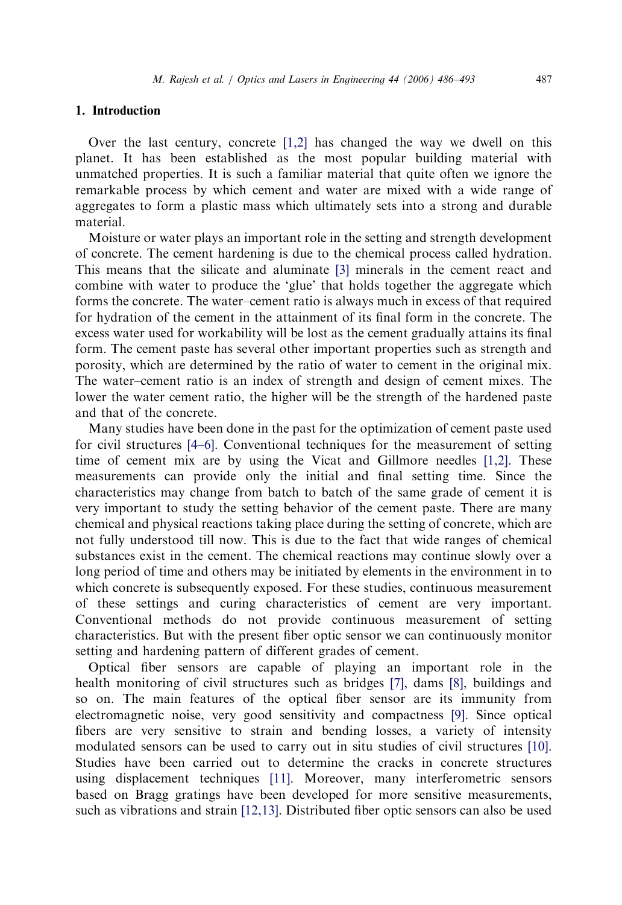# 1. Introduction

Over the last century, concrete  $[1,2]$  has changed the way we dwell on this planet. It has been established as the most popular building material with unmatched properties. It is such a familiar material that quite often we ignore the remarkable process by which cement and water are mixed with a wide range of aggregates to form a plastic mass which ultimately sets into a strong and durable material.

Moisture or water plays an important role in the setting and strength development of concrete. The cement hardening is due to the chemical process called hydration. This means that the silicate and aluminate [\[3\]](#page-7-0) minerals in the cement react and combine with water to produce the 'glue' that holds together the aggregate which forms the concrete. The water–cement ratio is always much in excess of that required for hydration of the cement in the attainment of its final form in the concrete. The excess water used for workability will be lost as the cement gradually attains its final form. The cement paste has several other important properties such as strength and porosity, which are determined by the ratio of water to cement in the original mix. The water–cement ratio is an index of strength and design of cement mixes. The lower the water cement ratio, the higher will be the strength of the hardened paste and that of the concrete.

Many studies have been done in the past for the optimization of cement paste used for civil structures [\[4–6\]](#page-7-0). Conventional techniques for the measurement of setting time of cement mix are by using the Vicat and Gillmore needles [\[1,2\]](#page-7-0). These measurements can provide only the initial and final setting time. Since the characteristics may change from batch to batch of the same grade of cement it is very important to study the setting behavior of the cement paste. There are many chemical and physical reactions taking place during the setting of concrete, which are not fully understood till now. This is due to the fact that wide ranges of chemical substances exist in the cement. The chemical reactions may continue slowly over a long period of time and others may be initiated by elements in the environment in to which concrete is subsequently exposed. For these studies, continuous measurement of these settings and curing characteristics of cement are very important. Conventional methods do not provide continuous measurement of setting characteristics. But with the present fiber optic sensor we can continuously monitor setting and hardening pattern of different grades of cement.

Optical fiber sensors are capable of playing an important role in the health monitoring of civil structures such as bridges [\[7\]](#page-7-0), dams [\[8\],](#page-7-0) buildings and so on. The main features of the optical fiber sensor are its immunity from electromagnetic noise, very good sensitivity and compactness [\[9\].](#page-7-0) Since optical fibers are very sensitive to strain and bending losses, a variety of intensity modulated sensors can be used to carry out in situ studies of civil structures [\[10\].](#page-7-0) Studies have been carried out to determine the cracks in concrete structures using displacement techniques [\[11\]](#page-7-0). Moreover, many interferometric sensors based on Bragg gratings have been developed for more sensitive measurements, such as vibrations and strain [\[12,13\].](#page-7-0) Distributed fiber optic sensors can also be used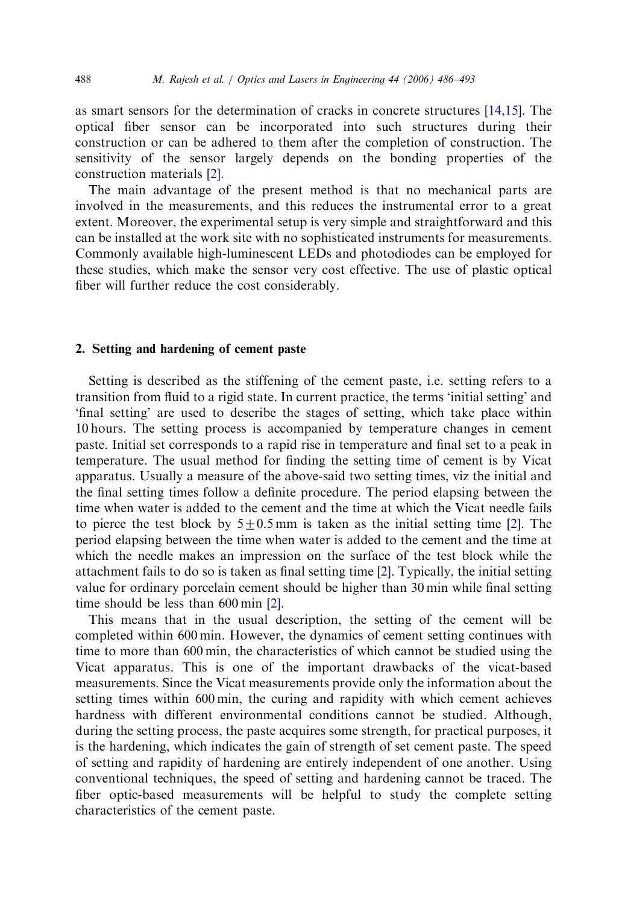as smart sensors for the determination of cracks in concrete structures [\[14,15\].](#page-7-0) The optical fiber sensor can be incorporated into such structures during their construction or can be adhered to them after the completion of construction. The sensitivity of the sensor largely depends on the bonding properties of the construction materials [\[2\]](#page-7-0).

The main advantage of the present method is that no mechanical parts are involved in the measurements, and this reduces the instrumental error to a great extent. Moreover, the experimental setup is very simple and straightforward and this can be installed at the work site with no sophisticated instruments for measurements. Commonly available high-luminescent LEDs and photodiodes can be employed for these studies, which make the sensor very cost effective. The use of plastic optical fiber will further reduce the cost considerably.

# 2. Setting and hardening of cement paste

Setting is described as the stiffening of the cement paste, i.e. setting refers to a transition from fluid to a rigid state. In current practice, the terms 'initial setting' and 'final setting' are used to describe the stages of setting, which take place within 10 hours. The setting process is accompanied by temperature changes in cement paste. Initial set corresponds to a rapid rise in temperature and final set to a peak in temperature. The usual method for finding the setting time of cement is by Vicat apparatus. Usually a measure of the above-said two setting times, viz the initial and the final setting times follow a definite procedure. The period elapsing between the time when water is added to the cement and the time at which the Vicat needle fails to pierce the test block by  $5+0.5$  mm is taken as the initial setting time [\[2\].](#page-7-0) The period elapsing between the time when water is added to the cement and the time at which the needle makes an impression on the surface of the test block while the attachment fails to do so is taken as final setting time [\[2\]](#page-7-0). Typically, the initial setting value for ordinary porcelain cement should be higher than 30 min while final setting time should be less than 600 min [\[2\]](#page-7-0).

This means that in the usual description, the setting of the cement will be completed within 600 min. However, the dynamics of cement setting continues with time to more than 600 min, the characteristics of which cannot be studied using the Vicat apparatus. This is one of the important drawbacks of the vicat-based measurements. Since the Vicat measurements provide only the information about the setting times within 600 min, the curing and rapidity with which cement achieves hardness with different environmental conditions cannot be studied. Although, during the setting process, the paste acquires some strength, for practical purposes, it is the hardening, which indicates the gain of strength of set cement paste. The speed of setting and rapidity of hardening are entirely independent of one another. Using conventional techniques, the speed of setting and hardening cannot be traced. The fiber optic-based measurements will be helpful to study the complete setting characteristics of the cement paste.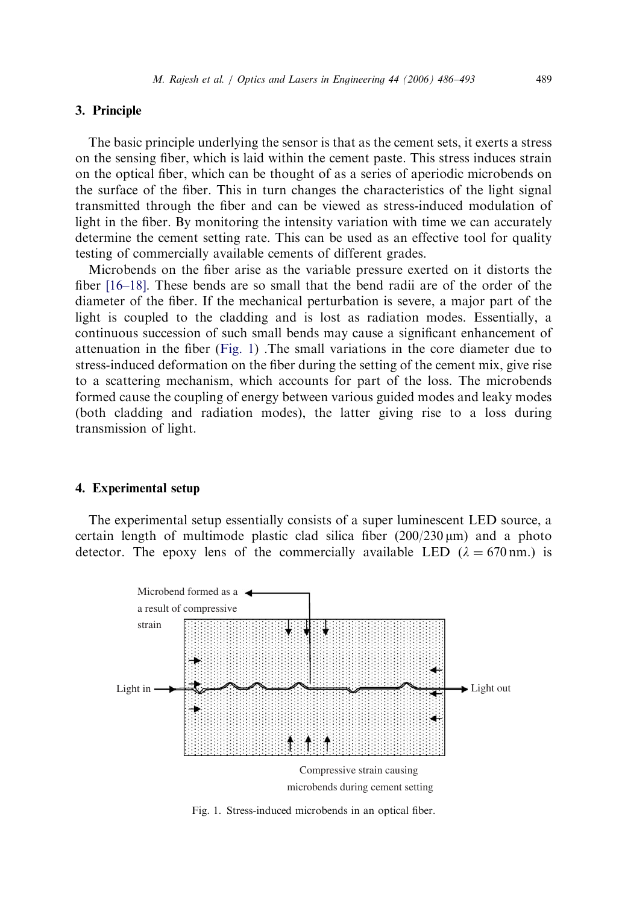# 3. Principle

The basic principle underlying the sensor is that as the cement sets, it exerts a stress on the sensing fiber, which is laid within the cement paste. This stress induces strain on the optical fiber, which can be thought of as a series of aperiodic microbends on the surface of the fiber. This in turn changes the characteristics of the light signal transmitted through the fiber and can be viewed as stress-induced modulation of light in the fiber. By monitoring the intensity variation with time we can accurately determine the cement setting rate. This can be used as an effective tool for quality testing of commercially available cements of different grades.

Microbends on the fiber arise as the variable pressure exerted on it distorts the fiber [\[16–18\]](#page-7-0). These bends are so small that the bend radii are of the order of the diameter of the fiber. If the mechanical perturbation is severe, a major part of the light is coupled to the cladding and is lost as radiation modes. Essentially, a continuous succession of such small bends may cause a significant enhancement of attenuation in the fiber (Fig. 1) .The small variations in the core diameter due to stress-induced deformation on the fiber during the setting of the cement mix, give rise to a scattering mechanism, which accounts for part of the loss. The microbends formed cause the coupling of energy between various guided modes and leaky modes (both cladding and radiation modes), the latter giving rise to a loss during transmission of light.

#### 4. Experimental setup

The experimental setup essentially consists of a super luminescent LED source, a certain length of multimode plastic clad silica fiber (200/230 *m*m) and a photo detector. The epoxy lens of the commercially available LED  $(\lambda = 670 \text{ nm.})$  is



Fig. 1. Stress-induced microbends in an optical fiber.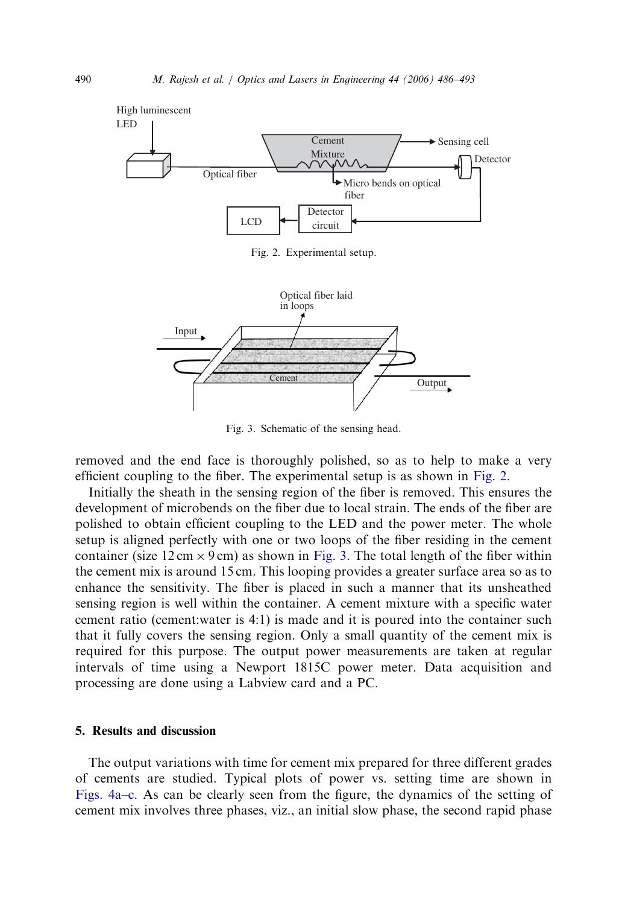

Fig. 2. Experimental setup.



Fig. 3. Schematic of the sensing head.

removed and the end face is thoroughly polished, so as to help to make a very efficient coupling to the fiber. The experimental setup is as shown in Fig. 2.

Initially the sheath in the sensing region of the fiber is removed. This ensures the development of microbends on the fiber due to local strain. The ends of the fiber are polished to obtain efficient coupling to the LED and the power meter. The whole setup is aligned perfectly with one or two loops of the fiber residing in the cement container (size  $12 \text{ cm} \times 9 \text{ cm}$ ) as shown in Fig. 3. The total length of the fiber within the cement mix is around 15 cm. This looping provides a greater surface area so as to enhance the sensitivity. The fiber is placed in such a manner that its unsheathed sensing region is well within the container. A cement mixture with a specific water cement ratio (cement:water is 4:1) is made and it is poured into the container such that it fully covers the sensing region. Only a small quantity of the cement mix is required for this purpose. The output power measurements are taken at regular intervals of time using a Newport 1815C power meter. Data acquisition and processing are done using a Labview card and a PC.

## 5. Results and discussion

The output variations with time for cement mix prepared for three different grades of cements are studied. Typical plots of power vs. setting time are shown in [Figs. 4a–c.](#page-5-0) As can be clearly seen from the figure, the dynamics of the setting of cement mix involves three phases, viz., an initial slow phase, the second rapid phase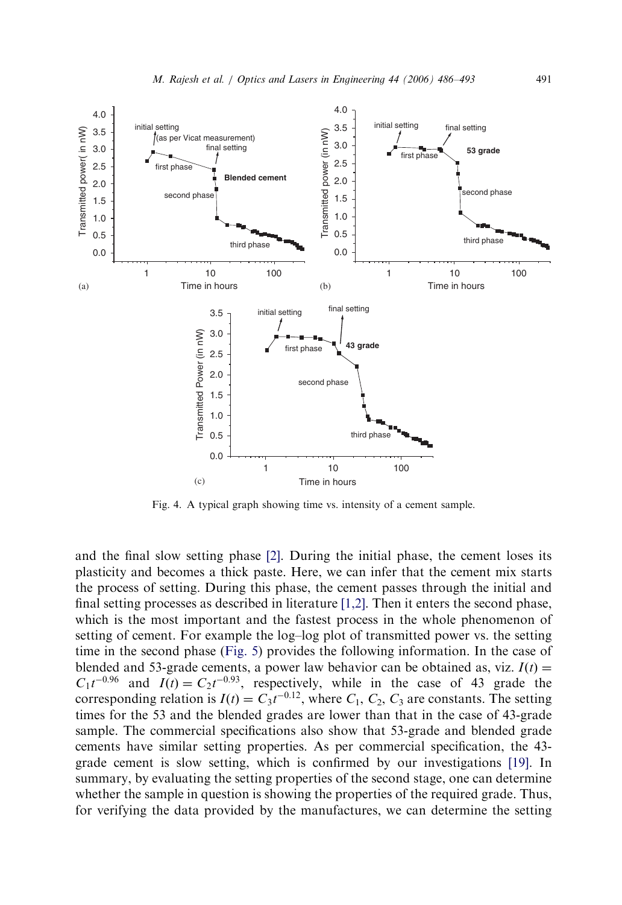<span id="page-5-0"></span>

Fig. 4. A typical graph showing time vs. intensity of a cement sample.

and the final slow setting phase [\[2\]](#page-7-0). During the initial phase, the cement loses its plasticity and becomes a thick paste. Here, we can infer that the cement mix starts the process of setting. During this phase, the cement passes through the initial and final setting processes as described in literature [\[1,2\].](#page-7-0) Then it enters the second phase, which is the most important and the fastest process in the whole phenomenon of setting of cement. For example the log–log plot of transmitted power vs. the setting time in the second phase [\(Fig. 5](#page-6-0)) provides the following information. In the case of blended and 53-grade cements, a power law behavior can be obtained as, viz.  $I(t)$  =  $C_1 t^{-0.96}$  and  $I(t) = C_2 t^{-0.93}$ , respectively, while in the case of 43 grade the corresponding relation is  $I(t) = C_3 t^{-0.12}$ , where  $C_1$ ,  $C_2$ ,  $C_3$  are constants. The setting times for the 53 and the blended grades are lower than that in the case of 43-grade sample. The commercial specifications also show that 53-grade and blended grade cements have similar setting properties. As per commercial specification, the 43 grade cement is slow setting, which is confirmed by our investigations [\[19\]](#page-7-0). In summary, by evaluating the setting properties of the second stage, one can determine whether the sample in question is showing the properties of the required grade. Thus, for verifying the data provided by the manufactures, we can determine the setting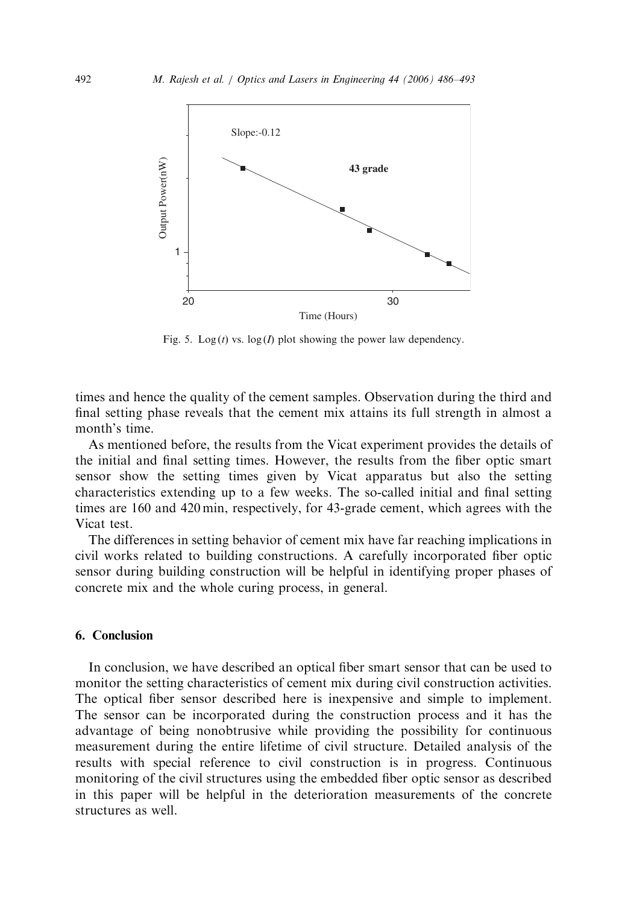<span id="page-6-0"></span>

Fig. 5. Log(t) vs.  $log(I)$  plot showing the power law dependency.

times and hence the quality of the cement samples. Observation during the third and final setting phase reveals that the cement mix attains its full strength in almost a month's time.

As mentioned before, the results from the Vicat experiment provides the details of the initial and final setting times. However, the results from the fiber optic smart sensor show the setting times given by Vicat apparatus but also the setting characteristics extending up to a few weeks. The so-called initial and final setting times are 160 and 420 min, respectively, for 43-grade cement, which agrees with the Vicat test.

The differences in setting behavior of cement mix have far reaching implications in civil works related to building constructions. A carefully incorporated fiber optic sensor during building construction will be helpful in identifying proper phases of concrete mix and the whole curing process, in general.

# 6. Conclusion

In conclusion, we have described an optical fiber smart sensor that can be used to monitor the setting characteristics of cement mix during civil construction activities. The optical fiber sensor described here is inexpensive and simple to implement. The sensor can be incorporated during the construction process and it has the advantage of being nonobtrusive while providing the possibility for continuous measurement during the entire lifetime of civil structure. Detailed analysis of the results with special reference to civil construction is in progress. Continuous monitoring of the civil structures using the embedded fiber optic sensor as described in this paper will be helpful in the deterioration measurements of the concrete structures as well.